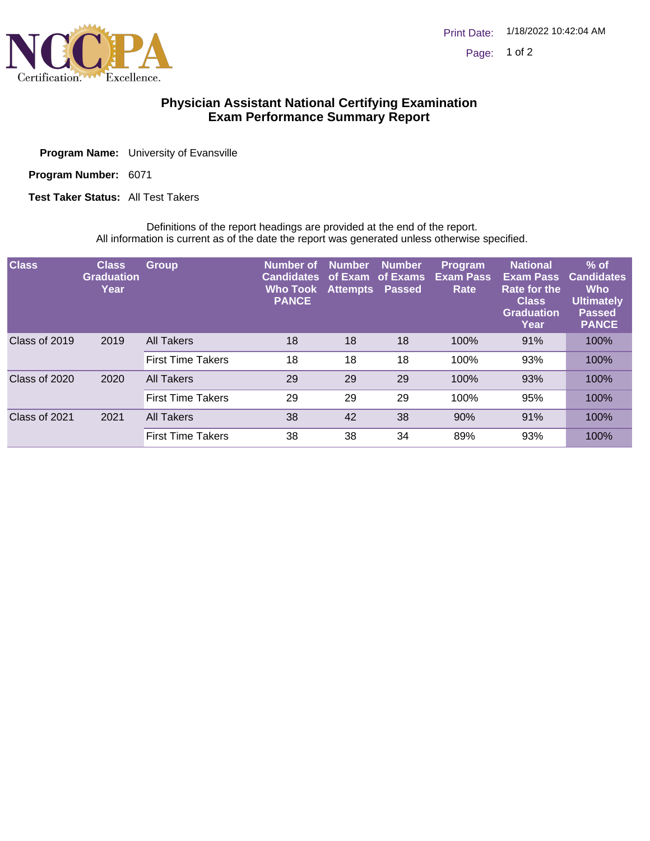

## **Physician Assistant National Certifying Examination Exam Performance Summary Report**

| <b>Program Name:</b> University of Evansville |
|-----------------------------------------------|
|                                               |

Program Number: 6071

**Test Taker Status: All Test Takers** 

Definitions of the report headings are provided at the end of the report. All information is current as of the date the report was generated unless otherwise specified.

| <b>Class</b>  | <b>Class</b><br><b>Graduation</b><br>Year | <b>Group</b>             | Number of<br><b>Candidates</b><br><b>Who Took</b><br><b>PANCE</b> | <b>Number</b><br>of Exam of Exams<br>Attempts Passed | <b>Number</b> | Program<br><b>Exam Pass</b><br>Rate | <b>National</b><br><b>Exam Pass</b><br><b>Rate for the</b><br><b>Class</b><br><b>Graduation</b><br>Year | $%$ of<br><b>Candidates</b><br><b>Who</b><br><b>Ultimately</b><br><b>Passed</b><br><b>PANCE</b> |
|---------------|-------------------------------------------|--------------------------|-------------------------------------------------------------------|------------------------------------------------------|---------------|-------------------------------------|---------------------------------------------------------------------------------------------------------|-------------------------------------------------------------------------------------------------|
| Class of 2019 | 2019                                      | All Takers               | 18                                                                | 18                                                   | 18            | 100%                                | 91%                                                                                                     | 100%                                                                                            |
|               |                                           | <b>First Time Takers</b> | 18                                                                | 18                                                   | 18            | 100%                                | 93%                                                                                                     | 100%                                                                                            |
| Class of 2020 | 2020                                      | <b>All Takers</b>        | 29                                                                | 29                                                   | 29            | 100%                                | 93%                                                                                                     | 100%                                                                                            |
|               |                                           | <b>First Time Takers</b> | 29                                                                | 29                                                   | 29            | 100%                                | 95%                                                                                                     | 100%                                                                                            |
| Class of 2021 | 2021                                      | <b>All Takers</b>        | 38                                                                | 42                                                   | 38            | 90%                                 | 91%                                                                                                     | 100%                                                                                            |
|               |                                           | <b>First Time Takers</b> | 38                                                                | 38                                                   | 34            | 89%                                 | 93%                                                                                                     | 100%                                                                                            |